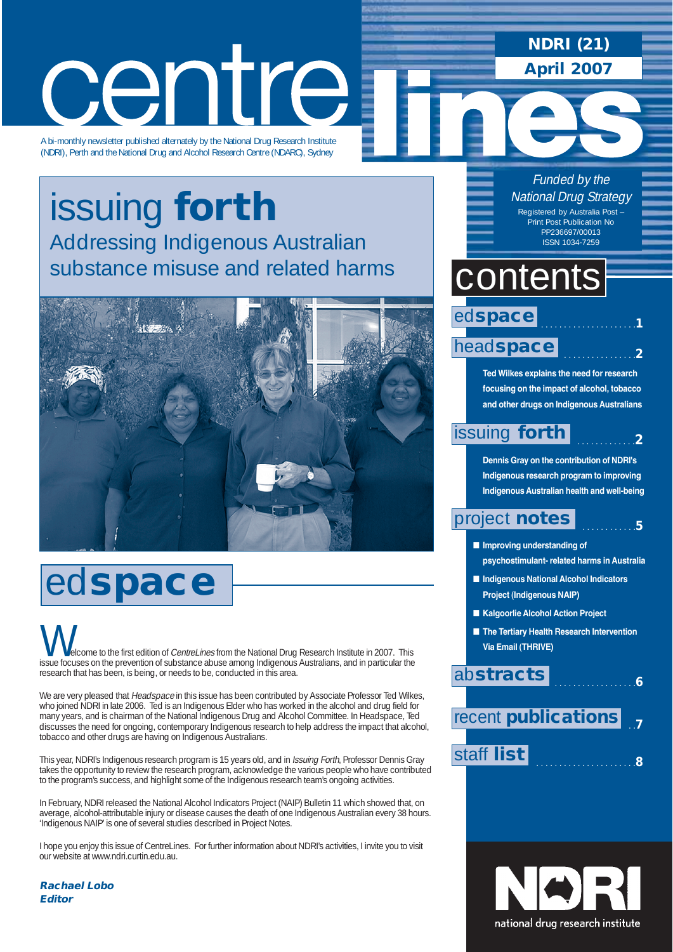# centre

A bi-monthly newsletter published alternately by the National Drug Research Institute (NDRI), Perth and the National Drug and Alcohol Research Centre (NDARC), Sydney

### issuing **forth** Addressing Indigenous Australian substance misuse and related harms



# ed**space**

elcome to the first edition of CentreLines from the National Drug Research Institute in 2007. This **VOC**<br>Issue focuses on the first edition of *CentreLines* from the National Drug Research Institute in 2007. This<br>Issue focuses on the prevention of substance abuse among Indigenous Australians, and in particular the research that has been, is being, or needs to be, conducted in this area.

We are very pleased that Headspace in this issue has been contributed by Associate Professor Ted Wilkes, who joined NDRI in late 2006. Ted is an Indigenous Elder who has worked in the alcohol and drug field for many years, and is chairman of the National Indigenous Drug and Alcohol Committee. In Headspace, Ted discusses the need for ongoing, contemporary Indigenous research to help address the impact that alcohol, tobacco and other drugs are having on Indigenous Australians.

This year, NDRI's Indigenous research program is 15 years old, and in Issuing Forth, Professor Dennis Gray takes the opportunity to review the research program, acknowledge the various people who have contributed to the program's success, and highlight some of the Indigenous research team's ongoing activities.

In February, NDRI released the National Alcohol Indicators Project (NAIP) Bulletin 11 which showed that, on average, alcohol-attributable injury or disease causes the death of one Indigenous Australian every 38 hours. 'Indigenous NAIP' is one of several studies described in Project Notes.

I hope you enjoy this issue of CentreLines. For further information about NDRI's activities, I invite you to visit our website at www.ndri.curtin.edu.au.

**Rachael Lobo Editor**

**NDRI (21)**

**April 2007**

Funded by the National Drug Strategy Registered by Australia Post – Print Post Publication No PP236697/00013 ISSN 1034-7259

### contents

### . . . . . . . . . . . . . . . . . . . . .**1** head**space** ed**space**

. . . . . . . . . . . . . . . .**2**

. . . . . . . . . . . .**5**

. . . . . . . . . . . . .**2**

**Ted Wilkes explains the need for research focusing on the impact of alcohol, tobacco and other drugs on Indigenous Australians** 

### issuing **forth**

**Dennis Gray on the contribution of NDRI's Indigenous research program to improving Indigenous Australian health and well-being** 

### project **notes**

- **Improving understanding of psychostimulant- related harms in Australia**
- **Indigenous National Alcohol Indicators Project (Indigenous NAIP)**
- Kalgoorlie Alcohol Action Project
- **The Tertiary Health Research Intervention Via Email (THRIVE)**

. . . . . . . . . . . . . . . . . .**6**

### ab**stracts**

 . .**7** recent **publications**



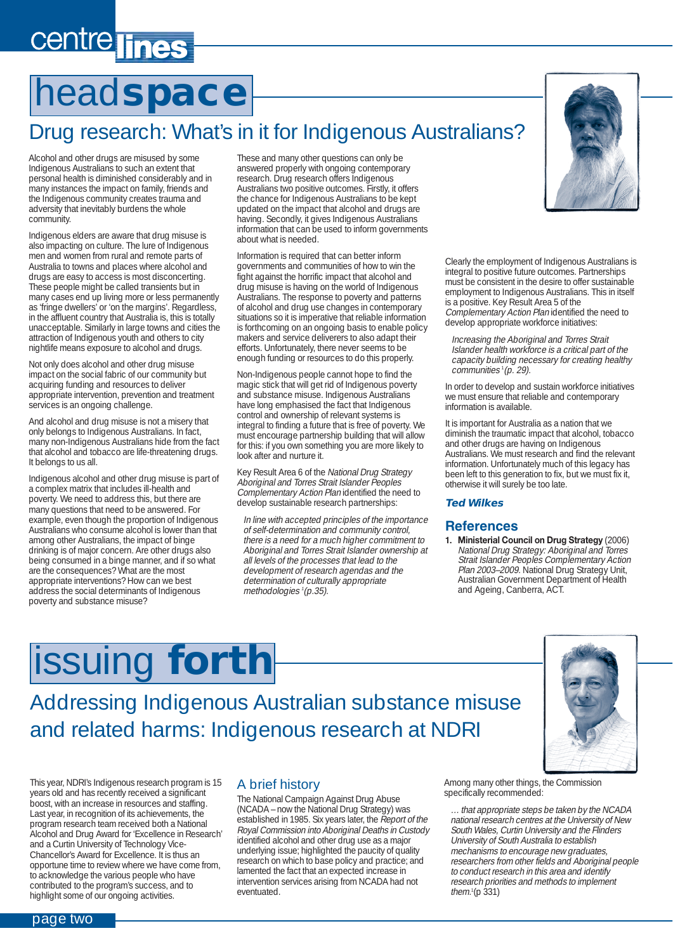# centre lines

# head**space**

### Drug research: What's in it for Indigenous Australians?

Alcohol and other drugs are misused by some Indigenous Australians to such an extent that personal health is diminished considerably and in many instances the impact on family, friends and the Indigenous community creates trauma and adversity that inevitably burdens the whole community.

Indigenous elders are aware that drug misuse is also impacting on culture. The lure of Indigenous men and women from rural and remote parts of Australia to towns and places where alcohol and drugs are easy to access is most disconcerting. These people might be called transients but in many cases end up living more or less permanently as 'fringe dwellers' or 'on the margins'. Regardless, in the affluent country that Australia is, this is totally unacceptable. Similarly in large towns and cities the attraction of Indigenous youth and others to city nightlife means exposure to alcohol and drugs.

Not only does alcohol and other drug misuse impact on the social fabric of our community but acquiring funding and resources to deliver appropriate intervention, prevention and treatment services is an ongoing challenge.

And alcohol and drug misuse is not a misery that only belongs to Indigenous Australians. In fact, many non-Indigenous Australians hide from the fact that alcohol and tobacco are life-threatening drugs. It belongs to us all.

Indigenous alcohol and other drug misuse is part of a complex matrix that includes ill-health and poverty. We need to address this, but there are many questions that need to be answered. For example, even though the proportion of Indigenous Australians who consume alcohol is lower than that among other Australians, the impact of binge drinking is of major concern. Are other drugs also being consumed in a binge manner, and if so what are the consequences? What are the most appropriate interventions? How can we best address the social determinants of Indigenous poverty and substance misuse?

These and many other questions can only be answered properly with ongoing contemporary research. Drug research offers Indigenous Australians two positive outcomes. Firstly, it offers the chance for Indigenous Australians to be kept updated on the impact that alcohol and drugs are having. Secondly, it gives Indigenous Australians information that can be used to inform governments about what is needed.

Information is required that can better inform governments and communities of how to win the fight against the horrific impact that alcohol and drug misuse is having on the world of Indigenous Australians. The response to poverty and patterns of alcohol and drug use changes in contemporary situations so it is imperative that reliable information is forthcoming on an ongoing basis to enable policy makers and service deliverers to also adapt their efforts. Unfortunately, there never seems to be enough funding or resources to do this properly.

Non-Indigenous people cannot hope to find the magic stick that will get rid of Indigenous poverty and substance misuse. Indigenous Australians have long emphasised the fact that Indigenous control and ownership of relevant systems is integral to finding a future that is free of poverty. We must encourage partnership building that will allow for this: if you own something you are more likely to look after and nurture it.

Key Result Area 6 of the National Drug Strategy Aboriginal and Torres Strait Islander Peoples Complementary Action Plan identified the need to develop sustainable research partnerships:

In line with accepted principles of the importance of self-determination and community control, there is a need for a much higher commitment to Aboriginal and Torres Strait Islander ownership at all levels of the processes that lead to the development of research agendas and the determination of culturally appropriate methodologies <sup>1</sup> (p.35).



Clearly the employment of Indigenous Australians is integral to positive future outcomes. Partnerships must be consistent in the desire to offer sustainable employment to Indigenous Australians. This in itself is a positive. Key Result Area 5 of the Complementary Action Plan identified the need to develop appropriate workforce initiatives:

Increasing the Aboriginal and Torres Strait Islander health workforce is a critical part of the capacity building necessary for creating healthy communities <sup>1</sup> (p. 29).

In order to develop and sustain workforce initiatives we must ensure that reliable and contemporary information is available.

It is important for Australia as a nation that we diminish the traumatic impact that alcohol, tobacco and other drugs are having on Indigenous Australians. We must research and find the relevant information. Unfortunately much of this legacy has been left to this generation to fix, but we must fix it, otherwise it will surely be too late.

#### **Ted Wilkes**

### **References**

**1. Ministerial Council on Drug Strategy** (2006) National Drug Strategy: Aboriginal and Torres Strait Islander Peoples Complementary Action Plan 2003–2009. National Drug Strategy Unit, Australian Government Department of Health and Ageing, Canberra, ACT.

# issuing **forth**

Addressing Indigenous Australian substance misuse and related harms: Indigenous research at NDRI

This year, NDRI's Indigenous research program is 15 years old and has recently received a significant boost, with an increase in resources and staffing. Last year, in recognition of its achievements, the program research team received both a National Alcohol and Drug Award for 'Excellence in Research' and a Curtin University of Technology Vice-Chancellor's Award for Excellence. It is thus an opportune time to review where we have come from, to acknowledge the various people who have contributed to the program's success, and to highlight some of our ongoing activities.

### A brief history

The National Campaign Against Drug Abuse (NCADA – now the National Drug Strategy) was established in 1985. Six years later, the Report of the Royal Commission into Aboriginal Deaths in Custody identified alcohol and other drug use as a major underlying issue; highlighted the paucity of quality research on which to base policy and practice; and lamented the fact that an expected increase in intervention services arising from NCADA had not eventuated.

Among many other things, the Commission specifically recommended:

… that appropriate steps be taken by the NCADA national research centres at the University of New South Wales, Curtin University and the Flinders University of South Australia to establish mechanisms to encourage new graduates, researchers from other fields and Aboriginal people to conduct research in this area and identify research priorities and methods to implement them.<sup>1</sup> (p 331)

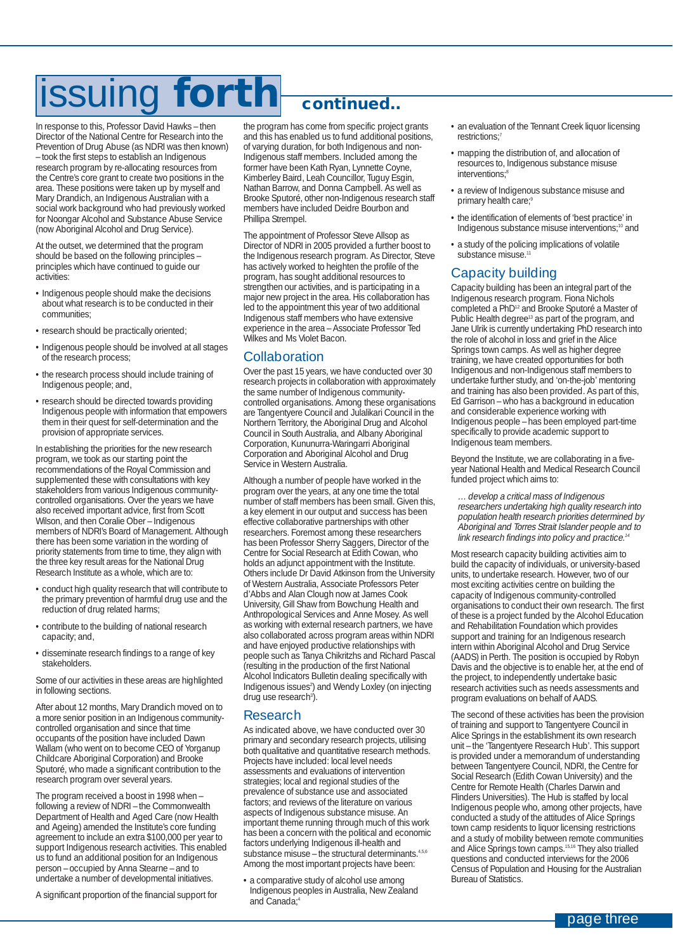# issuing **forth continued..**

In response to this, Professor David Hawks – then Director of the National Centre for Research into the Prevention of Drug Abuse (as NDRI was then known) – took the first steps to establish an Indigenous research program by re-allocating resources from the Centre's core grant to create two positions in the area. These positions were taken up by myself and Mary Drandich, an Indigenous Australian with a social work background who had previously worked for Noongar Alcohol and Substance Abuse Service (now Aboriginal Alcohol and Drug Service).

At the outset, we determined that the program should be based on the following principles – principles which have continued to guide our activities:

- Indigenous people should make the decisions about what research is to be conducted in their communities;
- research should be practically oriented;
- Indigenous people should be involved at all stages of the research process;
- the research process should include training of Indigenous people; and,
- research should be directed towards providing Indigenous people with information that empowers them in their quest for self-determination and the provision of appropriate services.

In establishing the priorities for the new research program, we took as our starting point the recommendations of the Royal Commission and supplemented these with consultations with key stakeholders from various Indigenous communitycontrolled organisations. Over the years we have also received important advice, first from Scott Wilson, and then Coralie Ober – Indigenous members of NDRI's Board of Management. Although there has been some variation in the wording of priority statements from time to time, they align with the three key result areas for the National Drug Research Institute as a whole, which are to:

- conduct high quality research that will contribute to the primary prevention of harmful drug use and the reduction of drug related harms;
- contribute to the building of national research capacity; and,
- disseminate research findings to a range of key stakeholders.

Some of our activities in these areas are highlighted in following sections.

After about 12 months, Mary Drandich moved on to a more senior position in an Indigenous communitycontrolled organisation and since that time occupants of the position have included Dawn Wallam (who went on to become CEO of Yorganup Childcare Aboriginal Corporation) and Brooke Sputoré, who made a significant contribution to the research program over several years.

The program received a boost in 1998 when – following a review of NDRI – the Commonwealth Department of Health and Aged Care (now Health and Ageing) amended the Institute's core funding agreement to include an extra \$100,000 per year to support Indigenous research activities. This enabled us to fund an additional position for an Indigenous person – occupied by Anna Stearne – and to undertake a number of developmental initiatives.

A significant proportion of the financial support for

the program has come from specific project grants and this has enabled us to fund additional positions, of varying duration, for both Indigenous and non-Indigenous staff members. Included among the former have been Kath Ryan, Lynnette Coyne, Kimberley Baird, Leah Councillor, Tuguy Esgin, Nathan Barrow, and Donna Campbell. As well as Brooke Sputoré, other non-Indigenous research staff members have included Deidre Bourbon and Phillipa Strempel.

The appointment of Professor Steve Allsop as Director of NDRI in 2005 provided a further boost to the Indigenous research program. As Director, Steve has actively worked to heighten the profile of the program, has sought additional resources to strengthen our activities, and is participating in a major new project in the area. His collaboration has led to the appointment this year of two additional Indigenous staff members who have extensive experience in the area – Associate Professor Ted Wilkes and Ms Violet Bacon.

#### Collaboration

Over the past 15 years, we have conducted over 30 research projects in collaboration with approximately the same number of Indigenous communitycontrolled organisations. Among these organisations are Tangentyere Council and Julalikari Council in the Northern Territory, the Aboriginal Drug and Alcohol Council in South Australia, and Albany Aboriginal Corporation, Kununurra-Waringarri Aboriginal Corporation and Aboriginal Alcohol and Drug Service in Western Australia.

Although a number of people have worked in the program over the years, at any one time the total number of staff members has been small. Given this, a key element in our output and success has been effective collaborative partnerships with other researchers. Foremost among these researchers has been Professor Sherry Saggers, Director of the Centre for Social Research at Edith Cowan, who holds an adjunct appointment with the Institute. Others include Dr David Atkinson from the University of Western Australia, Associate Professors Peter d'Abbs and Alan Clough now at James Cook University, Gill Shaw from Bowchung Health and Anthropological Services and Anne Mosey. As well as working with external research partners, we have also collaborated across program areas within NDRI and have enjoyed productive relationships with people such as Tanya Chikritzhs and Richard Pascal (resulting in the production of the first National Alcohol Indicators Bulletin dealing specifically with Indigenous issues<sup>2</sup>) and Wendy Loxley (on injecting drug use research<sup>3</sup>).

### Research

As indicated above, we have conducted over 30 primary and secondary research projects, utilising both qualitative and quantitative research methods. Projects have included: local level needs assessments and evaluations of intervention strategies; local and regional studies of the prevalence of substance use and associated factors; and reviews of the literature on various aspects of Indigenous substance misuse. An important theme running through much of this work has been a concern with the political and economic factors underlying Indigenous ill-health and substance misuse – the structural determinants. $4,5,6$ Among the most important projects have been:

• a comparative study of alcohol use among Indigenous peoples in Australia, New Zealand and Canada;

- an evaluation of the Tennant Creek liquor licensing restrictions;
- mapping the distribution of, and allocation of resources to, Indigenous substance misuse interventions;<sup>8</sup>
- a review of Indigenous substance misuse and primary health care;<sup>9</sup>
- the identification of elements of 'best practice' in Indigenous substance misuse interventions;<sup>10</sup> and
- a study of the policing implications of volatile substance misuse.<sup>1</sup>

### Capacity building

Capacity building has been an integral part of the Indigenous research program. Fiona Nichols completed a PhD12 and Brooke Sputoré a Master of Public Health degree<sup>13</sup> as part of the program, and Jane Ulrik is currently undertaking PhD research into the role of alcohol in loss and grief in the Alice Springs town camps. As well as higher degree training, we have created opportunities for both Indigenous and non-Indigenous staff members to undertake further study, and 'on-the-job' mentoring and training has also been provided. As part of this, Ed Garrison – who has a background in education and considerable experience working with Indigenous people – has been employed part-time specifically to provide academic support to Indigenous team members.

Beyond the Institute, we are collaborating in a fiveyear National Health and Medical Research Council funded project which aims to:

... develop a critical mass of Indigenous researchers undertaking high quality research into population health research priorities determined by Aboriginal and Torres Strait Islander people and to link research findings into policy and practice.<sup>14</sup>

Most research capacity building activities aim to build the capacity of individuals, or university-based units, to undertake research. However, two of our most exciting activities centre on building the capacity of Indigenous community-controlled organisations to conduct their own research. The first of these is a project funded by the Alcohol Education and Rehabilitation Foundation which provides support and training for an Indigenous research intern within Aboriginal Alcohol and Drug Service (AADS) in Perth. The position is occupied by Robyn Davis and the objective is to enable her, at the end of the project, to independently undertake basic research activities such as needs assessments and program evaluations on behalf of AADS.

The second of these activities has been the provision of training and support to Tangentyere Council in Alice Springs in the establishment its own research unit – the 'Tangentyere Research Hub'. This support is provided under a memorandum of understanding between Tangentyere Council, NDRI, the Centre for Social Research (Edith Cowan University) and the Centre for Remote Health (Charles Darwin and Flinders Universities). The Hub is staffed by local Indigenous people who, among other projects, have conducted a study of the attitudes of Alice Springs town camp residents to liquor licensing restrictions and a study of mobility between remote communities and Alice Springs town camps.15,16 They also trialled questions and conducted interviews for the 2006 Census of Population and Housing for the Australian Bureau of Statistics.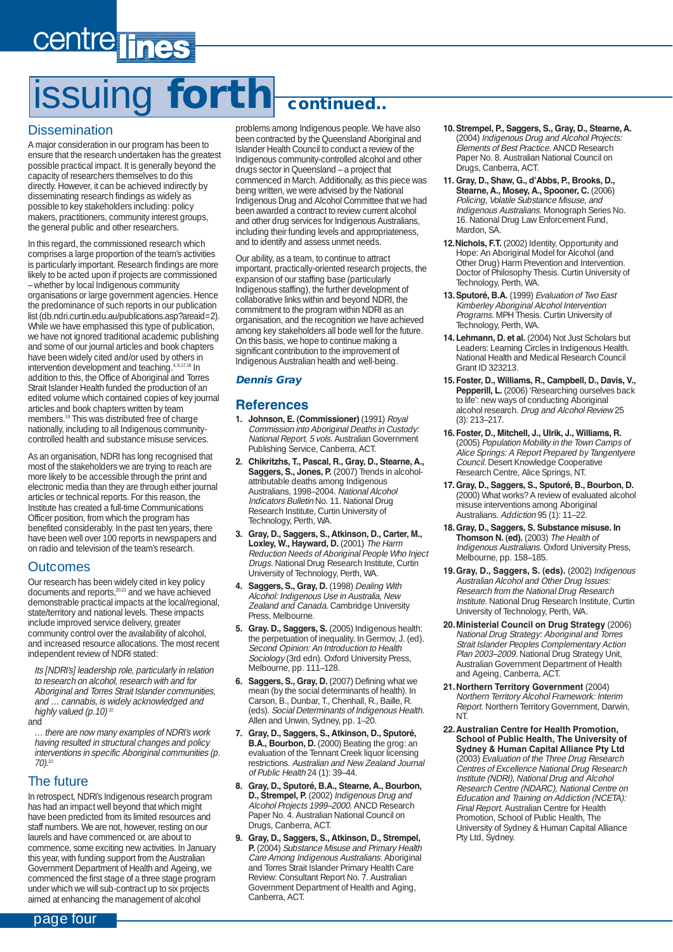# issuing **forth continued..**

### **Dissemination**

A major consideration in our program has been to ensure that the research undertaken has the greatest possible practical impact. It is generally beyond the capacity of researchers themselves to do this directly. However, it can be achieved indirectly by disseminating research findings as widely as possible to key stakeholders including: policy makers, practitioners, community interest groups, the general public and other researchers.

In this regard, the commissioned research which comprises a large proportion of the team's activities is particularly important. Research findings are more likely to be acted upon if projects are commissioned – whether by local Indigenous community organisations or large government agencies. Hence the predominance of such reports in our publication list (db.ndri.curtin.edu.au/publications.asp?areaid=2). While we have emphasised this type of publication, we have not ignored traditional academic publishing and some of our journal articles and book chapters have been widely cited and/or used by others in intervention development and teaching.<sup>4, 6,17,18</sup> In addition to this, the Office of Aboriginal and Torres Strait Islander Health funded the production of an edited volume which contained copies of key journal articles and book chapters written by team members.19 This was distributed free of charge nationally, including to all Indigenous communitycontrolled health and substance misuse services.

As an organisation, NDRI has long recognised that most of the stakeholders we are trying to reach are more likely to be accessible through the print and electronic media than they are through either journal articles or technical reports. For this reason, the Institute has created a full-time Communications Officer position, from which the program has benefited considerably. In the past ten years, there have been well over 100 reports in newspapers and on radio and television of the team's research.

### **Outcomes**

Our research has been widely cited in key policy documents and reports,20,21 and we have achieved demonstrable practical impacts at the local/regional, state/territory and national levels. These impacts include improved service delivery, greater community control over the availability of alcohol, and increased resource allocations. The most recent independent review of NDRI stated:

Its [NDRI's] leadership role, particularly in relation to research on alcohol, research with and for Aboriginal and Torres Strait Islander communities. and … cannabis, is widely acknowledged and highly valued (p. 10)<sup>22</sup>

and

there are now many examples of NDRI's work having resulted in structural changes and policy interventions in specific Aboriginal communities (p. 70).<sup>22</sup>

### The future

In retrospect, NDRI's Indigenous research program has had an impact well beyond that which might have been predicted from its limited resources and staff numbers. We are not, however, resting on our laurels and have commenced or, are about to commence, some exciting new activities. In January this year, with funding support from the Australian Government Department of Health and Ageing, we commenced the first stage of a three stage program under which we will sub-contract up to six projects aimed at enhancing the management of alcohol

problems among Indigenous people. We have also been contracted by the Queensland Aboriginal and Islander Health Council to conduct a review of the Indigenous community-controlled alcohol and other drugs sector in Queensland – a project that commenced in March. Additionally, as this piece was being written, we were advised by the National Indigenous Drug and Alcohol Committee that we had been awarded a contract to review current alcohol and other drug services for Indigenous Australians, including their funding levels and appropriateness, and to identify and assess unmet needs.

Our ability, as a team, to continue to attract important, practically-oriented research projects, the expansion of our staffing base (particularly Indigenous staffing), the further development of collaborative links within and beyond NDRI, the commitment to the program within NDRI as an organisation, and the recognition we have achieved among key stakeholders all bode well for the future. On this basis, we hope to continue making a significant contribution to the improvement of Indigenous Australian health and well-being.

### **Dennis Gray**

### **References**

- **1. Johnson, E. (Commissioner)** (1991) Royal Commission into Aboriginal Deaths in Custody: National Report, 5 vols. Australian Government Publishing Service, Canberra, ACT.
- **2. Chikritzhs, T., Pascal, R., Gray, D., Stearne, A.,** Saggers, S., Jones, P. (2007) Trends in alcoholattributable deaths among Indigenous Australians, 1998–2004. National Alcohol Indicators Bulletin No. 11. National Drug Research Institute, Curtin University of Technology, Perth, WA.
- **3. Gray, D., Saggers, S., Atkinson, D., Carter, M., Loxley, W., Hayward, D.** (2001) The Harm Reduction Needs of Aboriginal People Who Inject Drugs. National Drug Research Institute, Curtin University of Technology, Perth, WA.
- **4. Saggers, S., Gray, D.** (1998) Dealing With Alcohol: Indigenous Use in Australia, New Zealand and Canada. Cambridge University Press, Melbourne.
- **5. Gray. D., Saggers, S.** (2005) Indigenous health: the perpetuation of inequality. In Germov, J. (ed). Second Opinion: An Introduction to Health Sociology (3rd edn). Oxford University Press, Melbourne, pp. 111–128.
- **6. Saggers, S., Gray, D.** (2007) Defining what we mean (by the social determinants of health). In Carson, B., Dunbar, T., Chenhall, R., Baille, R. (eds). Social Determinants of Indigenous Health. Allen and Unwin, Sydney, pp. 1–20.
- **7. Gray, D., Saggers, S., Atkinson, D., Sputoré, B.A., Bourbon, D.** (2000) Beating the grog: an evaluation of the Tennant Creek liquor licensing restrictions. Australian and New Zealand Journal of Public Health 24 (1): 39–44.
- **8. Gray, D., Sputoré, B.A., Stearne, A., Bourbon, D., Strempel, P.** (2002) Indigenous Drug and Alcohol Projects 1999–2000. ANCD Research Paper No. 4. Australian National Council on Drugs, Canberra, ACT.
- **9. Gray, D., Saggers, S., Atkinson, D., Strempel, P.** (2004) Substance Misuse and Primary Health Care Among Indigenous Australians. Aboriginal and Torres Strait Islander Primary Health Care Review: Consultant Report No. 7. Australian Government Department of Health and Aging, Canberra, ACT.
- **10. Strempel, P., Saggers, S., Gray, D., Stearne, A.** (2004) Indigenous Drug and Alcohol Projects: Elements of Best Practice. ANCD Research Paper No. 8. Australian National Council on Drugs, Canberra, ACT.
- **11. Gray, D., Shaw, G., d'Abbs, P., Brooks, D., Stearne, A., Mosey, A., Spooner, C.** (2006) Policing, Volatile Substance Misuse, and Indigenous Australians. Monograph Series No. 16. National Drug Law Enforcement Fund, Mardon, SA.
- **12.Nichols, F.T.** (2002) Identity, Opportunity and Hope: An Aboriginal Model for Alcohol (and Other Drug) Harm Prevention and Intervention. Doctor of Philosophy Thesis. Curtin University of Technology, Perth, WA.
- **13. Sputoré, B.A.** (1999) Evaluation of Two East Kimberley Aboriginal Alcohol Intervention Programs. MPH Thesis. Curtin University of Technology, Perth, WA.
- 14. Lehmann, D. et al. (2004) Not Just Scholars but Leaders: Learning Circles in Indigenous Health. National Health and Medical Research Council Grant ID 323213.
- **15. Foster, D., Williams, R., Campbell, D., Davis, V., Pepperill, L.** (2006) 'Researching ourselves back to life': new ways of conducting Aboriginal alcohol research. Drug and Alcohol Review 25 (3): 213–217.
- **16. Foster, D., Mitchell, J., Ulrik, J., Williams, R.** (2005) Population Mobility in the Town Camps of Alice Springs: A Report Prepared by Tangentyere Council. Desert Knowledge Cooperative Research Centre, Alice Springs, NT.
- **17. Gray, D., Saggers, S., Sputoré, B., Bourbon, D.** (2000) What works? A review of evaluated alcohol misuse interventions among Aboriginal Australians. Addiction 95 (1): 11-22.
- **18. Gray, D., Saggers, S. Substance misuse. In Thomson N. (ed).** (2003) The Health of Indigenous Australians. Oxford University Press, Melbourne, pp. 158–185.
- **19.Gray, D., Saggers, S. (eds).** (2002) Indigenous Australian Alcohol and Other Drug Issues: Research from the National Drug Research Institute. National Drug Research Institute, Curtin University of Technology, Perth, WA.
- **20.Ministerial Council on Drug Strategy** (2006) National Drug Strategy: Aboriginal and Torres Strait Islander Peoples Complementary Action Plan 2003-2009. National Drug Strategy Unit, Australian Government Department of Health and Ageing, Canberra, ACT.
- **21.Northern Territory Government** (2004) Northern Territory Alcohol Framework: Interim Report. Northern Territory Government, Darwin, NT.
- **22.Australian Centre for Health Promotion, School of Public Health, The University of Sydney & Human Capital Alliance Pty Ltd** (2003) Evaluation of the Three Drug Research Centres of Excellence National Drug Research Institute (NDRI), National Drug and Alcohol Research Centre (NDARC), National Centre on Education and Training on Addiction (NCETA): Final Report. Australian Centre for Health Promotion, School of Public Health, The University of Sydney & Human Capital Alliance Pty Ltd, Sydney.

page four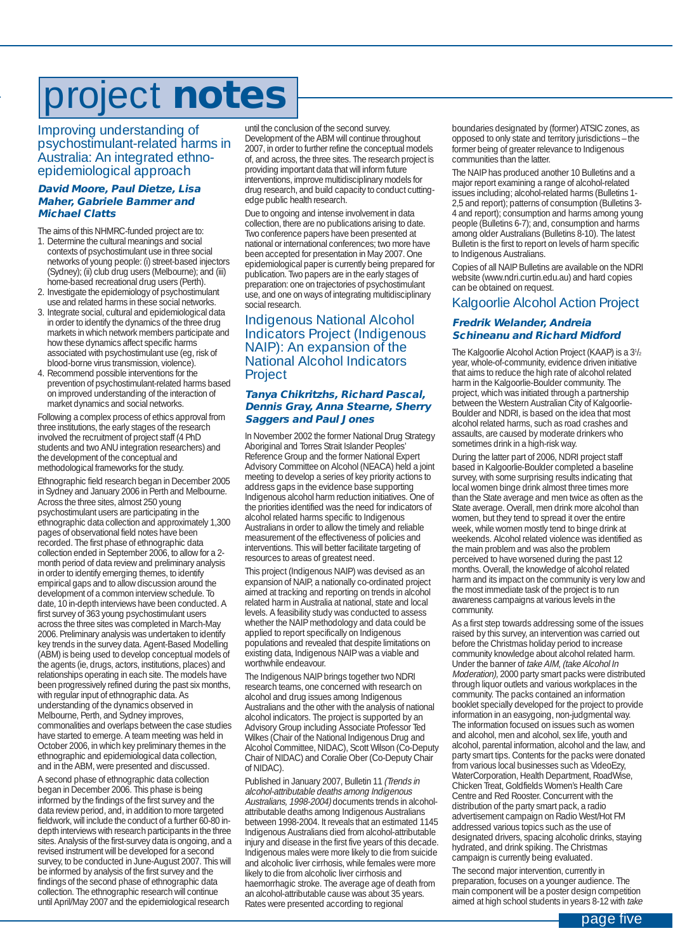# project **notes**

Improving understanding of psychostimulant-related harms in Australia: An integrated ethnoepidemiological approach

#### **David Moore, Paul Dietze, Lisa Maher, Gabriele Bammer and Michael Clatts**

The aims of this NHMRC-funded project are to:

- 1. Determine the cultural meanings and social contexts of psychostimulant use in three social networks of young people: (i) street-based injectors (Sydney); (ii) club drug users (Melbourne); and (iii) home-based recreational drug users (Perth). 2. Investigate the epidemiology of psychostimulant
- use and related harms in these social networks.
- 3. Integrate social, cultural and epidemiological data in order to identify the dynamics of the three drug markets in which network members participate and how these dynamics affect specific harms associated with psychostimulant use (eg, risk of blood-borne virus transmission, violence).
- 4. Recommend possible interventions for the prevention of psychostimulant-related harms based on improved understanding of the interaction of market dynamics and social networks.

Following a complex process of ethics approval from three institutions, the early stages of the research involved the recruitment of project staff (4 PhD students and two ANU integration researchers) and the development of the conceptual and methodological frameworks for the study.

Ethnographic field research began in December 2005 in Sydney and January 2006 in Perth and Melbourne. Across the three sites, almost 250 young psychostimulant users are participating in the ethnographic data collection and approximately 1,300 pages of observational field notes have been recorded. The first phase of ethnographic data collection ended in September 2006, to allow for a 2 month period of data review and preliminary analysis in order to identify emerging themes, to identify empirical gaps and to allow discussion around the development of a common interview schedule. To date, 10 in-depth interviews have been conducted. A first survey of 363 young psychostimulant users across the three sites was completed in March-May 2006. Preliminary analysis was undertaken to identify key trends in the survey data. Agent-Based Modelling (ABM) is being used to develop conceptual models of the agents (ie, drugs, actors, institutions, places) and relationships operating in each site. The models have been progressively refined during the past six months, with regular input of ethnographic data. As understanding of the dynamics observed in Melbourne, Perth, and Sydney improves, commonalities and overlaps between the case studies have started to emerge. A team meeting was held in October 2006, in which key preliminary themes in the ethnographic and epidemiological data collection, and in the ABM, were presented and discussed.

A second phase of ethnographic data collection began in December 2006. This phase is being informed by the findings of the first survey and the data review period, and, in addition to more targeted fieldwork, will include the conduct of a further 60-80 indepth interviews with research participants in the three sites. Analysis of the first-survey data is ongoing, and a revised instrument will be developed for a second survey, to be conducted in June-August 2007. This will be informed by analysis of the first survey and the findings of the second phase of ethnographic data collection. The ethnographic research will continue until April/May 2007 and the epidemiological research

until the conclusion of the second survey. Development of the ABM will continue throughout 2007, in order to further refine the conceptual models of, and across, the three sites. The research project is providing important data that will inform future interventions, improve multidisciplinary models for drug research, and build capacity to conduct cuttingedge public health research.

Due to ongoing and intense involvement in data collection, there are no publications arising to date. Two conference papers have been presented at national or international conferences; two more have been accepted for presentation in May 2007. One epidemiological paper is currently being prepared for publication. Two papers are in the early stages of preparation: one on trajectories of psychostimulant use, and one on ways of integrating multidisciplinary social research.

### Indigenous National Alcohol Indicators Project (Indigenous NAIP): An expansion of the National Alcohol Indicators **Project**

#### **Tanya Chikritzhs, Richard Pascal, Dennis Gray, Anna Stearne, Sherry Saggers and Paul Jones**

In November 2002 the former National Drug Strategy Aboriginal and Torres Strait Islander Peoples' Reference Group and the former National Expert Advisory Committee on Alcohol (NEACA) held a joint meeting to develop a series of key priority actions to address gaps in the evidence base supporting Indigenous alcohol harm reduction initiatives. One of the priorities identified was the need for indicators of alcohol related harms specific to Indigenous Australians in order to allow the timely and reliable measurement of the effectiveness of policies and interventions. This will better facilitate targeting of resources to areas of greatest need.

This project (Indigenous NAIP) was devised as an expansion of NAIP, a nationally co-ordinated project aimed at tracking and reporting on trends in alcohol related harm in Australia at national, state and local levels. A feasibility study was conducted to assess whether the NAIP methodology and data could be applied to report specifically on Indigenous populations and revealed that despite limitations on existing data, Indigenous NAIP was a viable and worthwhile endeavour

The Indigenous NAIP brings together two NDRI research teams, one concerned with research on alcohol and drug issues among Indigenous Australians and the other with the analysis of national alcohol indicators. The project is supported by an Advisory Group including Associate Professor Ted Wilkes (Chair of the National Indigenous Drug and Alcohol Committee, NIDAC), Scott Wilson (Co-Deputy Chair of NIDAC) and Coralie Ober (Co-Deputy Chair of NIDAC).

Published in January 2007, Bulletin 11 (Trends in alcohol-attributable deaths among Indigenous Australians, 1998-2004) documents trends in alcoholattributable deaths among Indigenous Australians between 1998-2004. It reveals that an estimated 1145 Indigenous Australians died from alcohol-attributable injury and disease in the first five years of this decade. Indigenous males were more likely to die from suicide and alcoholic liver cirrhosis, while females were more likely to die from alcoholic liver cirrhosis and haemorrhagic stroke. The average age of death from an alcohol-attributable cause was about 35 years. Rates were presented according to regional

boundaries designated by (former) ATSIC zones, as opposed to only state and territory jurisdictions – the former being of greater relevance to Indigenous communities than the latter.

The NAIP has produced another 10 Bulletins and a major report examining a range of alcohol-related issues including; alcohol-related harms (Bulletins 1- 2,5 and report); patterns of consumption (Bulletins 3- 4 and report); consumption and harms among young people (Bulletins 6-7); and, consumption and harms among older Australians (Bulletins 8-10). The latest Bulletin is the first to report on levels of harm specific to Indigenous Australians.

Copies of all NAIP Bulletins are available on the NDRI website (www.ndri.curtin.edu.au) and hard copies can be obtained on request.

### Kalgoorlie Alcohol Action Project

### **Fredrik Welander, Andreia Schineanu and Richard Midford**

The Kalgoorlie Alcohol Action Project (KAAP) is a 3<sup>1</sup>/<sub>2</sub> year, whole-of-community, evidence driven initiative that aims to reduce the high rate of alcohol related harm in the Kalgoorlie-Boulder community. The project, which was initiated through a partnership between the Western Australian City of Kalgoorlie-Boulder and NDRI, is based on the idea that most alcohol related harms, such as road crashes and assaults, are caused by moderate drinkers who sometimes drink in a high-risk way.

During the latter part of 2006, NDRI project staff based in Kalgoorlie-Boulder completed a baseline survey, with some surprising results indicating that local women binge drink almost three times more than the State average and men twice as often as the State average. Overall, men drink more alcohol than women, but they tend to spread it over the entire week, while women mostly tend to binge drink at weekends. Alcohol related violence was identified as the main problem and was also the problem perceived to have worsened during the past 12 months. Overall, the knowledge of alcohol related harm and its impact on the community is very low and the most immediate task of the project is to run awareness campaigns at various levels in the community.

As a first step towards addressing some of the issues raised by this survey, an intervention was carried out before the Christmas holiday period to increase community knowledge about alcohol related harm. Under the banner of take AIM, (take Alcohol In Moderation), 2000 party smart packs were distributed through liquor outlets and various workplaces in the community. The packs contained an information booklet specially developed for the project to provide information in an easygoing, non-judgmental way. The information focused on issues such as women and alcohol, men and alcohol, sex life, youth and alcohol, parental information, alcohol and the law, and party smart tips. Contents for the packs were donated from various local businesses such as VideoEzy, WaterCorporation, Health Department, RoadWise, Chicken Treat, Goldfields Women's Health Care Centre and Red Rooster. Concurrent with the distribution of the party smart pack, a radio advertisement campaign on Radio West/Hot FM addressed various topics such as the use of designated drivers, spacing alcoholic drinks, staying hydrated, and drink spiking. The Christmas campaign is currently being evaluated.

The second major intervention, currently in preparation, focuses on a younger audience. The main component will be a poster design competition aimed at high school students in years 8-12 with take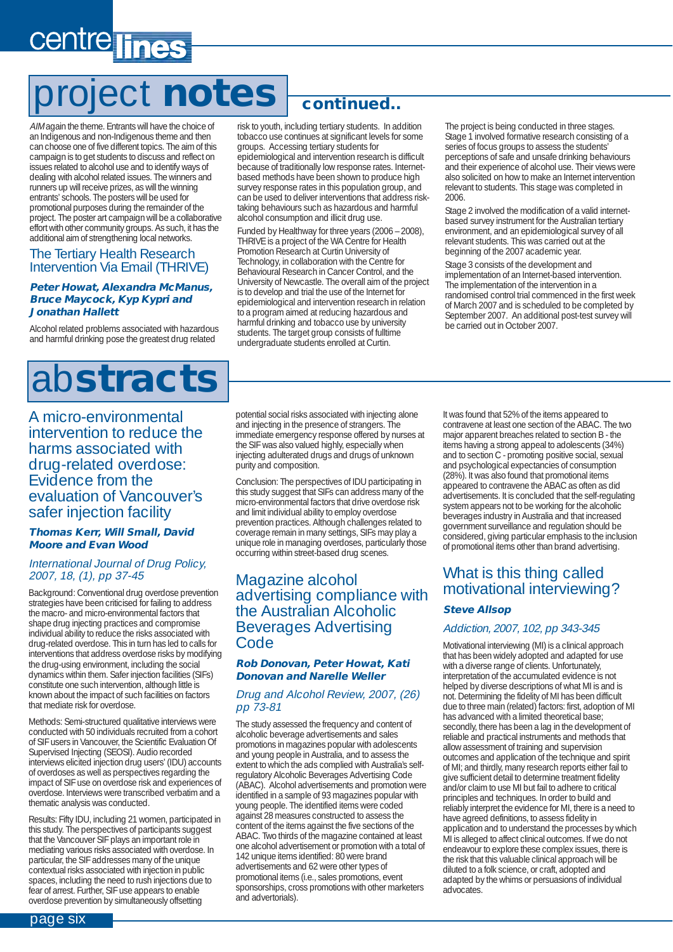# centre lines

# project **notes continued..**

AIM again the theme. Entrants will have the choice of an Indigenous and non-Indigenous theme and then can choose one of five different topics. The aim of this campaign is to get students to discuss and reflect on issues related to alcohol use and to identify ways of dealing with alcohol related issues. The winners and runners up will receive prizes, as will the winning entrants' schools. The posters will be used for promotional purposes during the remainder of the project. The poster art campaign will be a collaborative effort with other community groups. As such, it has the additional aim of strengthening local networks.

### The Tertiary Health Research Intervention Via Email (THRIVE)

#### **Peter Howat, Alexandra McManus, Bruce Maycock, Kyp Kypri and Jonathan Hallett**

Alcohol related problems associated with hazardous and harmful drinking pose the greatest drug related

# ab**stracts**

A micro-environmental intervention to reduce the harms associated with drug-related overdose: Evidence from the evaluation of Vancouver's safer injection facility

### **Thomas Kerr, Will Small, David Moore and Evan Wood**

### International Journal of Drug Policy, 2007, 18, (1), pp 37-45

Background: Conventional drug overdose prevention strategies have been criticised for failing to address the macro- and micro-environmental factors that shape drug injecting practices and compromise individual ability to reduce the risks associated with drug-related overdose. This in turn has led to calls for interventions that address overdose risks by modifying the drug-using environment, including the social dynamics within them. Safer injection facilities (SIFs) constitute one such intervention, although little is known about the impact of such facilities on factors that mediate risk for overdose.

Methods: Semi-structured qualitative interviews were conducted with 50 individuals recruited from a cohort of SIF users in Vancouver, the Scientific Evaluation Of Supervised Injecting (SEOSI). Audio recorded interviews elicited injection drug users' (IDU) accounts of overdoses as well as perspectives regarding the impact of SIF use on overdose risk and experiences of overdose. Interviews were transcribed verbatim and a thematic analysis was conducted.

Results: Fifty IDU, including 21 women, participated in this study. The perspectives of participants suggest that the Vancouver SIF plays an important role in mediating various risks associated with overdose. In particular, the SIF addresses many of the unique contextual risks associated with injection in public spaces, including the need to rush injections due to fear of arrest. Further, SIF use appears to enable overdose prevention by simultaneously offsetting

risk to youth, including tertiary students. In addition tobacco use continues at significant levels for some groups. Accessing tertiary students for

epidemiological and intervention research is difficult because of traditionally low response rates. Internetbased methods have been shown to produce high survey response rates in this population group, and can be used to deliver interventions that address risktaking behaviours such as hazardous and harmful alcohol consumption and illicit drug use.

Funded by Healthway for three years (2006 – 2008), THRIVE is a project of the WA Centre for Health Promotion Research at Curtin University of Technology, in collaboration with the Centre for Behavioural Research in Cancer Control, and the University of Newcastle. The overall aim of the project is to develop and trial the use of the Internet for epidemiological and intervention research in relation to a program aimed at reducing hazardous and harmful drinking and tobacco use by university students. The target group consists of fulltime undergraduate students enrolled at Curtin.

The project is being conducted in three stages. Stage 1 involved formative research consisting of a series of focus groups to assess the students perceptions of safe and unsafe drinking behaviours and their experience of alcohol use. Their views were also solicited on how to make an Internet intervention relevant to students. This stage was completed in 2006.

Stage 2 involved the modification of a valid internetbased survey instrument for the Australian tertiary environment, and an epidemiological survey of all relevant students. This was carried out at the beginning of the 2007 academic year.

Stage 3 consists of the development and implementation of an Internet-based intervention. The implementation of the intervention in a randomised control trial commenced in the first week of March 2007 and is scheduled to be completed by September 2007. An additional post-test survey will be carried out in October 2007.

potential social risks associated with injecting alone and injecting in the presence of strangers. The immediate emergency response offered by nurses at the SIF was also valued highly, especially when injecting adulterated drugs and drugs of unknown purity and composition.

Conclusion: The perspectives of IDU participating in this study suggest that SIFs can address many of the micro-environmental factors that drive overdose risk and limit individual ability to employ overdose prevention practices. Although challenges related to coverage remain in many settings, SIFs may play a unique role in managing overdoses, particularly those occurring within street-based drug scenes.

### Magazine alcohol advertising compliance with the Australian Alcoholic Beverages Advertising Code

#### **Rob Donovan, Peter Howat, Kati Donovan and Narelle Weller**

#### Drug and Alcohol Review, 2007, (26) pp 73-81

The study assessed the frequency and content of alcoholic beverage advertisements and sales promotions in magazines popular with adolescents and young people in Australia, and to assess the extent to which the ads complied with Australia's selfregulatory Alcoholic Beverages Advertising Code (ABAC). Alcohol advertisements and promotion were identified in a sample of 93 magazines popular with young people. The identified items were coded against 28 measures constructed to assess the content of the items against the five sections of the ABAC. Two thirds of the magazine contained at least one alcohol advertisement or promotion with a total of 142 unique items identified: 80 were brand advertisements and 62 were other types of promotional items (i.e., sales promotions, event sponsorships, cross promotions with other marketers and advertorials).

It was found that 52% of the items appeared to contravene at least one section of the ABAC. The two major apparent breaches related to section B - the items having a strong appeal to adolescents (34%) and to section C - promoting positive social, sexual and psychological expectancies of consumption (28%). It was also found that promotional items appeared to contravene the ABAC as often as did advertisements. It is concluded that the self-regulating system appears not to be working for the alcoholic beverages industry in Australia and that increased government surveillance and regulation should be considered, giving particular emphasis to the inclusion of promotional items other than brand advertising.

### What is this thing called motivational interviewing?

#### **Steve Allsop**

### Addiction, 2007, 102, pp 343-345

Motivational interviewing (MI) is a clinical approach that has been widely adopted and adapted for use with a diverse range of clients. Unfortunately, interpretation of the accumulated evidence is not helped by diverse descriptions of what MI is and is not. Determining the fidelity of MI has been difficult due to three main (related) factors: first, adoption of MI has advanced with a limited theoretical base; secondly, there has been a lag in the development of reliable and practical instruments and methods that allow assessment of training and supervision outcomes and application of the technique and spirit of MI; and thirdly, many research reports either fail to give sufficient detail to determine treatment fidelity and/or claim to use MI but fail to adhere to critical principles and techniques. In order to build and reliably interpret the evidence for MI, there is a need to have agreed definitions, to assess fidelity in application and to understand the processes by which MI is alleged to affect clinical outcomes. If we do not endeavour to explore these complex issues, there is the risk that this valuable clinical approach will be diluted to a folk science, or craft, adopted and adapted by the whims or persuasions of individual advocates.

page six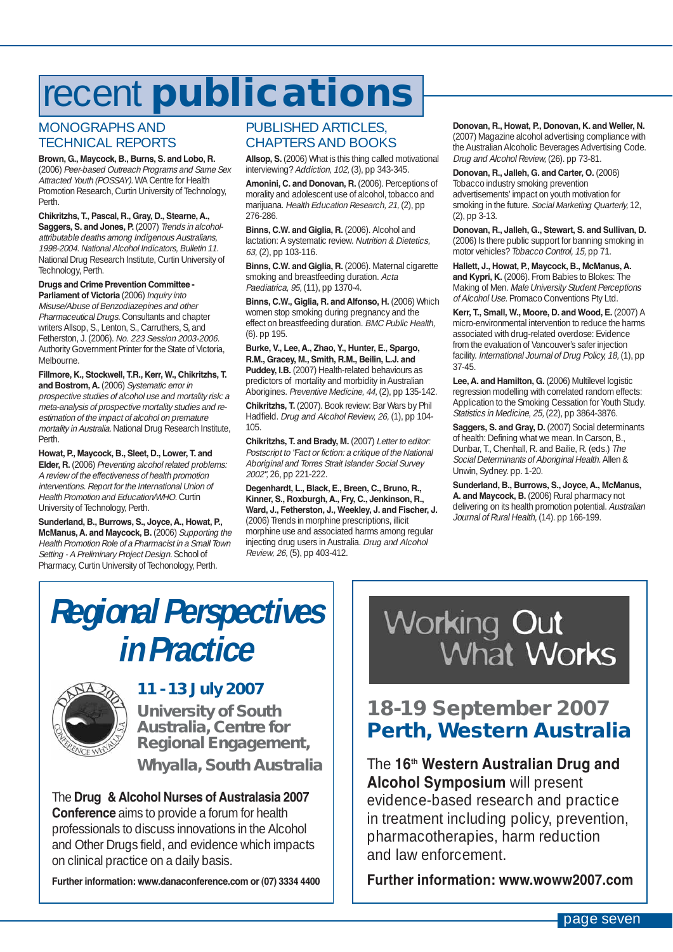# recent **publications**

### MONOGRAPHS AND TECHNICAL REPORTS

**Brown, G., Maycock, B., Burns, S. and Lobo, R.** (2006) Peer-based Outreach Programs and Same Sex Attracted Youth (POSSAY). WA Centre for Health Promotion Research, Curtin University of Technology, Perth.

### **Chikritzhs, T., Pascal, R., Gray, D., Stearne, A.,** Saggers, S. and Jones, P. (2007) Trends in alcohol-

attributable deaths among Indigenous Australians, 1998-2004. National Alcohol Indicators, Bulletin 11. National Drug Research Institute, Curtin University of Technology, Perth.

#### **Drugs and Crime Prevention Committee - Parliament of Victoria** (2006) Inquiry into

Misuse/Abuse of Benzodiazepines and other Pharmaceutical Drugs. Consultants and chapter writers Allsop, S., Lenton, S., Carruthers, S, and Fetherston, J. (2006). No. 223 Session 2003-2006. Authority Government Printer for the State of Victoria, Melbourne.

### **Fillmore, K., Stockwell, T.R., Kerr, W., Chikritzhs, T.**

and Bostrom, A. (2006) Systematic error in prospective studies of alcohol use and mortality risk: a meta-analysis of prospective mortality studies and reestimation of the impact of alcohol on premature mortality in Australia. National Drug Research Institute, Perth.

### **Howat, P., Maycock, B., Sleet, D., Lower, T. and**

**Elder, R.** (2006) Preventing alcohol related problems: A review of the effectiveness of health promotion interventions. Report for the International Union of Health Promotion and Education/WHO. Curtin University of Technology, Perth.

#### **Sunderland, B., Burrows, S., Joyce, A., Howat, P., McManus, A. and Maycock, B.** (2006) Supporting the Health Promotion Role of a Pharmacist in a Small Town Setting - A Preliminary Project Design. School of Pharmacy, Curtin University of Techonology, Perth.

### PUBLISHED ARTICLES, CHAPTERS AND BOOKS

**Allsop, S.** (2006) What is this thing called motivational interviewing? Addiction, 102, (3), pp 343-345.

**Amonini, C. and Donovan, R.** (2006). Perceptions of morality and adolescent use of alcohol, tobacco and marijuana. Health Education Research, 21, (2), pp 276-286.

**Binns, C.W. and Giglia, R.** (2006). Alcohol and lactation: A systematic review. Nutrition & Dietetics, 63, (2), pp 103-116.

**Binns, C.W. and Giglia, R.** (2006). Maternal cigarette smoking and breastfeeding duration. Acta Paediatrica, 95, (11), pp 1370-4.

**Binns, C.W., Giglia, R. and Alfonso, H.** (2006) Which women stop smoking during pregnancy and the effect on breastfeeding duration. BMC Public Health, (6). pp 195.

**Burke, V., Lee, A., Zhao, Y., Hunter, E., Spargo, R.M., Gracey, M., Smith, R.M., Beilin, L.J. and Puddey, I.B.** (2007) Health-related behaviours as predictors of mortality and morbidity in Australian Aborigines. Preventive Medicine, 44, (2), pp 135-142.

**Chikritzhs, T.** (2007). Book review: Bar Wars by Phil Hadfield. Drug and Alcohol Review, 26, (1), pp 104- 105.

**Chikritzhs, T. and Brady, M.** (2007) Letter to editor: Postscript to "Fact or fiction: a critique of the National Aboriginal and Torres Strait Islander Social Survey 2002", 26, pp 221-222.

#### **Degenhardt, L., Black, E., Breen, C., Bruno, R., Kinner, S., Roxburgh, A., Fry, C., Jenkinson, R., Ward, J., Fetherston, J., Weekley, J. and Fischer, J.** (2006) Trends in morphine prescriptions, illicit morphine use and associated harms among regular

injecting drug users in Australia. Drug and Alcohol Review, 26, (5), pp 403-412.

### **Donovan, R., Howat, P., Donovan, K. and Weller, N.**

(2007) Magazine alcohol advertising compliance with the Australian Alcoholic Beverages Advertising Code. Drug and Alcohol Review, (26). pp 73-81.

**Donovan, R., Jalleh, G. and Carter, O.** (2006) Tobacco industry smoking prevention advertisements' impact on youth motivation for smoking in the future. Social Marketing Quarterly, 12,  $(2)$ , pp  $\bar{3}$ -13.

**Donovan, R., Jalleh, G., Stewart, S. and Sullivan, D.** (2006) Is there public support for banning smoking in motor vehicles? Tobacco Control, 15, pp 71.

**Hallett, J., Howat, P., Maycock, B., McManus, A. and Kypri, K.** (2006). From Babies to Blokes: The Making of Men. Male University Student Perceptions of Alcohol Use. Promaco Conventions Pty Ltd.

**Kerr, T., Small, W., Moore, D. and Wood, E.** (2007) A micro-environmental intervention to reduce the harms associated with drug-related overdose: Evidence from the evaluation of Vancouver's safer injection facility. International Journal of Drug Policy, 18, (1), pp 37-45.

Lee, A. and Hamilton, G. (2006) Multilevel logistic regression modelling with correlated random effects: Application to the Smoking Cessation for Youth Study. Statistics in Medicine, 25, (22), pp 3864-3876.

**Saggers, S. and Gray, D.** (2007) Social determinants of health: Defining what we mean. In Carson, B., Dunbar, T., Chenhall, R. and Bailie, R. (eds.) The Social Determinants of Aboriginal Health. Allen & Unwin, Sydney. pp. 1-20.

**Sunderland, B., Burrows, S., Joyce, A., McManus, A. and Maycock, B.** (2006) Rural pharmacy not delivering on its health promotion potential. Australian Journal of Rural Health, (14). pp 166-199.

### **Regional Perspectives in Practice**



### **11 - 13 July 2007**

**University of South Australia, Centre for Regional Engagement, Whyalla, South Australia**

The **Drug & Alcohol Nurses of Australasia 2007 Conference** aims to provide a forum for health professionals to discuss innovations in the Alcohol and Other Drugs field, and evidence which impacts on clinical practice on a daily basis.

**Further information: www.danaconference.com or (07) 3334 4400**



### **18-19 September 2007 Perth, Western Australia**

### The **16th Western Australian Drug and Alcohol Symposium** will present

evidence-based research and practice in treatment including policy, prevention, pharmacotherapies, harm reduction and law enforcement.

**Further information: www.woww2007.com**